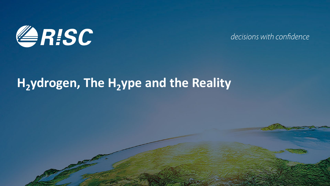

decisions with confidence

# H<sub>2</sub>ydrogen, The H<sub>2</sub>ype and the Reality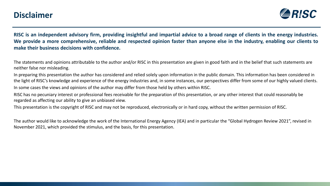#### **Disclaimer**



RISC is an independent advisory firm, providing insightful and impartial advice to a broad range of clients in the energy industries. We provide a more comprehensive, reliable and respected opinion faster than anyone else in the industry, enabling our clients to **make their business decisions with confidence.**

The statements and opinions attributable to the author and/or RISC in this presentation are given in good faith and in the belief that such statements are neither false nor misleading.

In preparing this presentation the author has considered and relied solely upon information in the public domain. This information has been considered in the light of RISC's knowledge and experience of the energy industries and, in some instances, our perspectives differ from some of our highly valued clients. In some cases the views and opinions of the author may differ from those held by others within RISC.

RISC has no pecuniary interest or professional fees receivable for the preparation of this presentation, or any other interest that could reasonably be regarded as affecting our ability to give an unbiased view.

This presentation is the copyright of RISC and may not be reproduced, electronically or in hard copy, without the written permission of RISC.

The author would like to acknowledge the work of the International Energy Agency (IEA) and in particular the "Global Hydrogen Review 2021", revised in November 2021, which provided the stimulus, and the basis, for this presentation.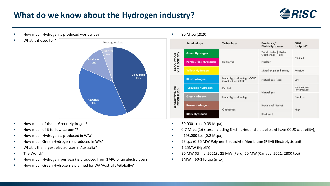## **What do we know about the Hydrogen industry?**





What is it used for?



- **How much of that is Green Hydrogen?**
- How much of it is "low-carbon"?
- How much Hydrogen is produced in WA?
- How much Green Hydrogen is produced in WA?
- What is the largest electrolyser in Australia?
- **The World?**
- How much Hydrogen (per year) is produced from 1MW of an electrolyser?
- **How much Green Hydrogen is planned for WA/Australia/Globally?**

#### 90 Mtpa (2020)

|                                       | <b>Terminology</b>        | <b>Technology</b>                                   | Feedstock/<br><b>Electricity source</b>    | <b>GHG</b><br>footprint*     |
|---------------------------------------|---------------------------|-----------------------------------------------------|--------------------------------------------|------------------------------|
| <b>PRODUCTION</b><br>VIA ELECTRICITY  | <b>Green Hydrogen</b>     | Electrolysis                                        | Wind   Solar   Hydro<br>Geothermal   Tidal | Minimal                      |
|                                       | Purple/Pink Hydrogen      |                                                     | Nuclear                                    |                              |
|                                       | <b>Yellow Hydrogen</b>    |                                                     | Mixed-origin grid energy                   | Medium                       |
| <b>PRODUCTION VIA</b><br>FOSSIL FUELS | <b>Blue Hydrogen</b>      | Natural gas reforming + CCUS<br>Gasification + CCUS | Natural gas   coal                         | Low                          |
|                                       | <b>Turquoise Hydrogen</b> | Pyrolysis                                           | Natural gas                                | Solid carbon<br>(by-product) |
|                                       | <b>Grey Hydrogen</b>      | Natural gas reforming                               |                                            | Medium                       |
|                                       | <b>Brown Hydrogen</b>     | Gasification                                        | Brown coal (lignite)                       | High                         |
|                                       | <b>Black Hydrogen</b>     |                                                     | <b>Black coal</b>                          |                              |

- 30,000+ tpa (0.03 Mtpa)
- 0.7 Mtpa (16 sites, including 6 refineries and a steel plant have CCUS capability),
- $\blacksquare$  ~195,000 tpa (0.2 Mtpa)
- 23 tpa (0.26 MW Polymer Electrolyte Membrane (PEM) Electrolysis unit)
- $\blacksquare$  1.25MW (HypSA)
- 30 MW (China, 2021) ; 25 MW (Peru) 20 MW (Canada, 2021, 2800 tpa)
- $1\text{MW} = 60 140 \text{ tpa (max)}$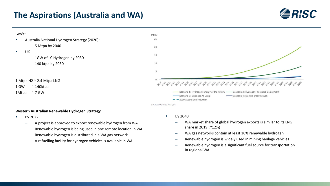#### **The Aspirations (Australia and WA)**







Source: Deloitte Analysis

- **Western Australian Renewable Hydrogen Strategy**
- By 2022

1 GW ~ 140ktpa 1Mtpa ~ 7 GW

Gov't:

 $\blacksquare$  UK

- A project is approved to export renewable hydrogen from WA
- Renewable hydrogen is being used in one remote location in WA
- Renewable hydrogen is distributed in a WA gas network
- A refuelling facility for hydrogen vehicles is available in WA
- By 2040
	- WA market share of global hydrogen exports is similar to its LNG share in 2019 (~12%)
	- WA gas networks contain at least 10% renewable hydrogen
	- Renewable hydrogen is widely used in mining haulage vehicles
	- Renewable hydrogen is a significant fuel source for transportation in regional WA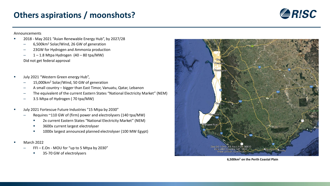## **Others aspirations / moonshots?**



Announcements

- 2018 May 2021 "Asian Renewable Energy Hub", by 2027/28
	- 6,500km2 Solar/Wind, 26 GW of generation
	- 23GW for Hydrogen and Ammonia production
	- $-$  1 1.8 Mtpa Hydrogen (40 80 tpa/MW) Did not get federal approval
- July 2021 "Western Green energy Hub",
	- 15,000km<sup>2</sup> Solar/Wind, 50 GW of generation
	- A small country bigger than East Timor, Vanuatu, Qatar, Lebanon
	- The equivalent of the current Eastern States "National Electricity Market" (NEM)
	- 3.5 Mtpa of Hydrogen ( 70 tpa/MW)
- July 2021 Fortescue Future Industries "15 Mtpa by 2030"
	- Requires ~110 GW of (firm) power and electrolysers (140 tpa/MW)
		- 2x current Eastern States "National Electricity Market" (NEM)
		- 3600x current largest electrolyser
		- **1000x largest announced planned electrolyser (100 MW Egypt)**
- March 2022
	- FFI E.On MOU for "up to 5 Mtpa by 2030"
		- **35-70 GW of electrolysers**



**6,500km2 on the Perth Coastal Plain**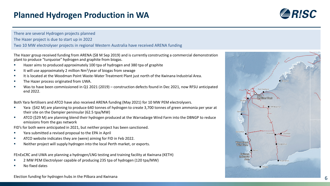### **Planned Hydrogen Production in WA**



There are several Hydrogen projects planned The Hazer project is due to start up in 2022 Two 10 MW electrolyser projects in regional Western Australia have received ARENA funding

The Hazer group received funding from ARENA (\$8 M Sep 2019) and is currently constructing a commercial demonstration plant to produce "turquoise" hydrogen and graphite from biogas.

- Hazer aims to produced approximately 100 tpa of hydrogen and 380 tpa of graphite
- It will use approximately 2 million  $Nm^3$ /year of biogas from sewage
- It is located at the Woodman Point Waste-Water Treatment Plant just north of the Kwinana Industrial Area.
- The Hazer process originated from UWA.
- Was to have been commissioned in Q1 2021 (2019) construction defects found in Dec 2021, now RFSU anticipated end 2022.

Both Yara fertilisers and ATCO have also received ARENA funding (May 2021) for 10 MW PEM electrolysers.

- Yara (\$42 M) are planning to produce 640 tonnes of hydrogen to create 3,700 tonnes of green ammonia per year at their site on the Dampier peninsular (62.5 tpa/MW)
- ATCO (\$29 M) are planning blend their hydrogen produced at the Warradarge Wind Farm into the DBNGP to reduce emissions from the gas network

FID's for both were anticipated in 2021, but neither project has been sanctioned.

- Yara submitted a revised proposal to the EPA in April
- **EXECO** website indicates they are (were) aiming for FID in Feb 2022.
- Neither project will supply hydrogen into the local Perth market, or exports.

FEnExCRC and UWA are planning a hydrogen/LNG testing and training facility at Kwinana (KETH)

- 2 MW PEM Electrolyser capable of producing 235 tpa of hydrogen (120 tpa/MW)
- No fixed dates

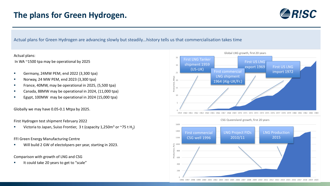

Actual plans for Green Hydrogen are advancing slowly but steadily…history tells us that commercialisation takes time

#### Actual plans:

In WA ~1500 tpa may be operational by 2025

- Germany, 24MW PEM, end 2022 (3,300 tpa)
- Norway, 24 MW PEM, end 2023 (3,300 tpa)
- France, 40MW, may be operational in 2025, (5,500 tpa)
- Canada, 88MW may be operational in 2024, (11,000 tpa)
- Egypt, 100MW may be operational in 2024 (15,000 tpa)

Globally we may have 0.05-0.1 Mtpa by 2025.

First Hydrogen test shipment February 2022

Victoria to Japan, Suiso Frontier, 3 t (capacity 1,250m<sup>3</sup> or  $\sim$ 75 t H<sub>2</sub>)

FFI Green Energy Manufacturing Centre

Will build 2 GW of electolysers per year, starting in 2023.

Comparison with growth of LNG and CSG

It could take 20 years to get to "scale"

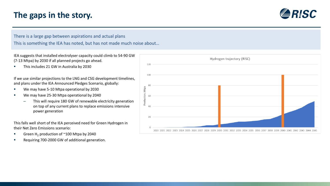## **The gaps in the story.**



There is a large gap between aspirations and actual plans This is something the IEA has noted, but has not made much noise about…

IEA suggests that installed electrolyser capacity could climb to 54-90 GW (7-13 Mtpa) by 2030 if all planned projects go ahead.

This includes 21 GW in Australia by 2030

If we use similar projections to the LNG and CSG development timelines, and plans under the IEA Announced Pledges Scenario, globally:

- We may have 5-10 Mtpa operational by 2030
- We may have 25-30 Mtpa operational by 2040
	- This will require 180 GW of renewable electricity generation on top of any current plans to replace emissions intensive power generation

This falls well short of the IEA perceived need for Green Hydrogen in their Net Zero Emissions scenario:

- Green H<sub>2</sub> production of  $^{\sim}100$  Mtpa by 2040
- Requiring 700-2000 GW of additional generation.

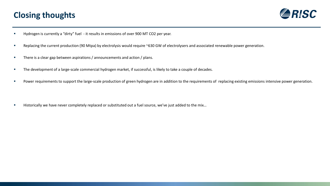## **Closing thoughts**



- Hydrogen is currently a "dirty" fuel it results in emissions of over 900 MT CO2 per year.
- Replacing the current production (90 Mtpa) by electrolysis would require ~630 GW of electrolysers and associated renewable power generation.
- **There is a clear gap between aspirations / announcements and action / plans.**
- The development of a large-scale commercial hydrogen market, if successful, is likely to take a couple of decades.
- Power requirements to support the large-scale production of green hydrogen are in addition to the requirements of replacing existing emissions intensive power generation.

■ Historically we have never completely replaced or substituted out a fuel source, we've just added to the mix...